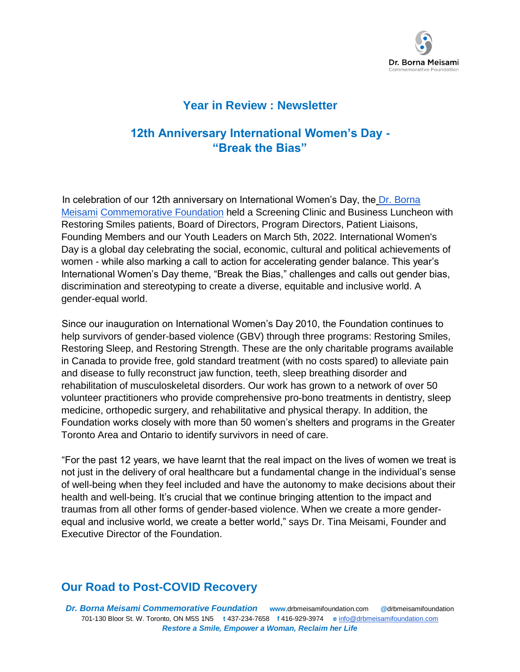

#### **Year in Review : Newsletter**

# **12th Anniversary International Women's Day - "Break the Bias"**

In celebration of our 12th anniversary on International Women's Day, the Dr. Borna Meisami Commemorative Foundation held a Screening Clinic and Business Luncheon with Restoring Smiles patients, Board of Directors, Program Directors, Patient Liaisons, Founding Members and our Youth Leaders on March 5th, 2022. International Women's Day is a global day celebrating the social, economic, cultural and political achievements of women - while also marking a call to action for accelerating gender balance. This year's International Women's Day theme, "Break the Bias," challenges and calls out gender bias, discrimination and stereotyping to create a diverse, equitable and inclusive world. A gender-equal world.

Since our inauguration on International Women's Day 2010, the Foundation continues to help survivors of gender-based violence (GBV) through three programs: Restoring Smiles, Restoring Sleep, and Restoring Strength. These are the only charitable programs available in Canada to provide free, gold standard treatment (with no costs spared) to alleviate pain and disease to fully reconstruct jaw function, teeth, sleep breathing disorder and rehabilitation of musculoskeletal disorders. Our work has grown to a network of over 50 volunteer practitioners who provide comprehensive pro-bono treatments in dentistry, sleep medicine, orthopedic surgery, and rehabilitative and physical therapy. In addition, the Foundation works closely with more than 50 women's shelters and programs in the Greater Toronto Area and Ontario to identify survivors in need of care.

"For the past 12 years, we have learnt that the real impact on the lives of women we treat is not just in the delivery of oral healthcare but a fundamental change in the individual's sense of well-being when they feel included and have the autonomy to make decisions about their health and well-being. It's crucial that we continue bringing attention to the impact and traumas from all other forms of gender-based violence. When we create a more genderequal and inclusive world, we create a better world," says Dr. Tina Meisami, Founder and Executive Director of the Foundation.

## **Our Road to Post-COVID Recovery**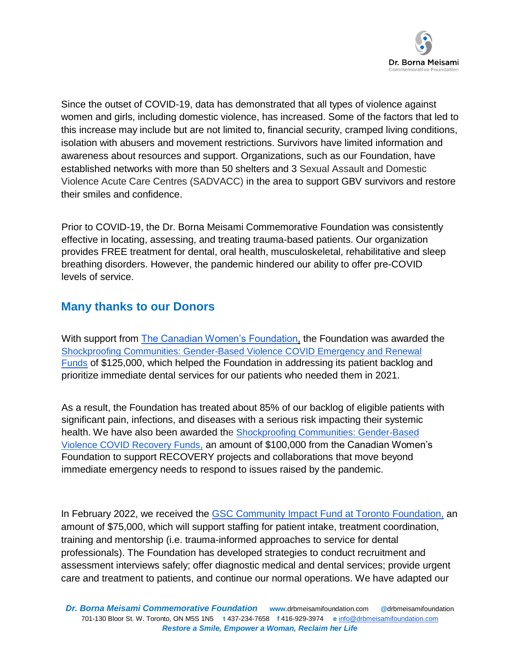

Since the outset of COVID-19, data has demonstrated that all types of violence against women and girls, including domestic violence, has increased. Some of the factors that led to this increase may include but are not limited to, financial security, cramped living conditions, isolation with abusers and movement restrictions. Survivors have limited information and awareness about resources and support. Organizations, such as our Foundation, have established networks with more than 50 shelters and 3 Sexual Assault and Domestic Violence Acute Care Centres (SADVACC) in the area to support GBV survivors and restore their smiles and confidence.

Prior to COVID-19, the Dr. Borna Meisami Commemorative Foundation was consistently effective in locating, assessing, and treating trauma-based patients. Our organization provides FREE treatment for dental, oral health, musculoskeletal, rehabilitative and sleep breathing disorders. However, the pandemic hindered our ability to offer pre-COVID levels of service.

## **Many thanks to our Donors**

With support from **The Canadian Women's Foundation**, the Foundation was awarded the Shockproofing Communities: Gender-Based Violence COVID Emergency and Renewal Funds of \$125,000, which helped the Foundation in addressing its patient backlog and prioritize immediate dental services for our patients who needed them in 2021.

As a result, the Foundation has treated about 85% of our backlog of eligible patients with significant pain, infections, and diseases with a serious risk impacting their systemic health. We have also been awarded the Shockproofing Communities: Gender-Based Violence COVID Recovery Funds, an amount of \$100,000 from the Canadian Women's Foundation to support RECOVERY projects and collaborations that move beyond immediate emergency needs to respond to issues raised by the pandemic.

In February 2022, we received the GSC Community Impact Fund at Toronto Foundation, an amount of \$75,000, which will support staffing for patient intake, treatment coordination, training and mentorship (i.e. trauma-informed approaches to service for dental professionals). The Foundation has developed strategies to conduct recruitment and assessment interviews safely; offer diagnostic medical and dental services; provide urgent care and treatment to patients, and continue our normal operations. We have adapted our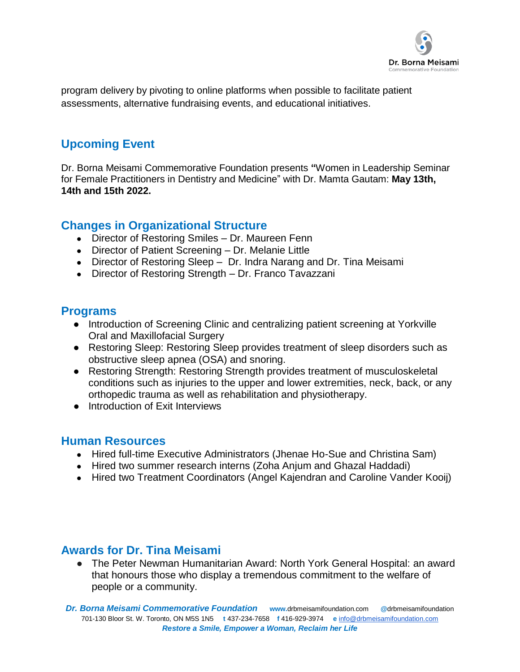

program delivery by pivoting to online platforms when possible to facilitate patient assessments, alternative fundraising events, and educational initiatives.

# **Upcoming Event**

Dr. Borna Meisami Commemorative Foundation presents **"**Women in Leadership Seminar for Female Practitioners in Dentistry and Medicine" with Dr. Mamta Gautam: **May 13th, 14th and 15th 2022.**

#### **Changes in Organizational Structure**

- Director of Restoring Smiles Dr. Maureen Fenn
- Director of Patient Screening Dr. Melanie Little
- Director of Restoring Sleep Dr. Indra Narang and Dr. Tina Meisami
- Director of Restoring Strength Dr. Franco Tavazzani

#### **Programs**

- Introduction of Screening Clinic and centralizing patient screening at Yorkville Oral and Maxillofacial Surgery
- Restoring Sleep: Restoring Sleep provides treatment of sleep disorders such as obstructive sleep apnea (OSA) and snoring.
- Restoring Strength: Restoring Strength provides treatment of musculoskeletal conditions such as injuries to the upper and lower extremities, neck, back, or any orthopedic trauma as well as rehabilitation and physiotherapy.
- Introduction of Exit Interviews

#### **Human Resources**

- Hired full-time Executive Administrators (Jhenae Ho-Sue and Christina Sam)
- Hired two summer research interns (Zoha Anjum and Ghazal Haddadi)
- Hired two Treatment Coordinators (Angel Kajendran and Caroline Vander Kooij)

## **Awards for Dr. Tina Meisami**

● The Peter Newman Humanitarian Award: North York General Hospital: an award that honours those who display a tremendous commitment to the welfare of people or a community.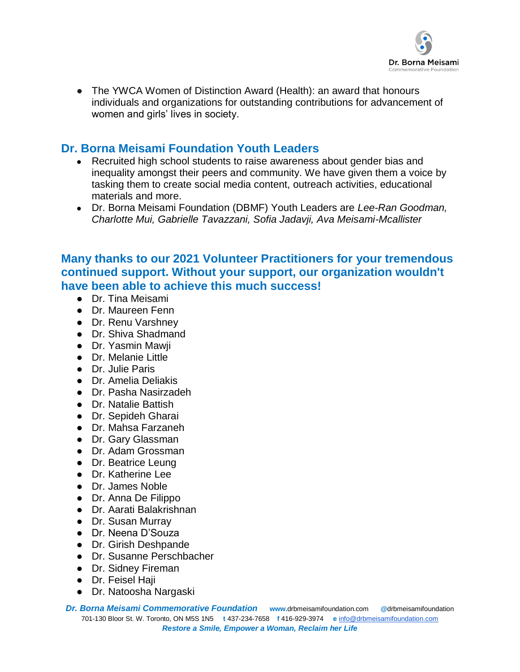

The YWCA Women of Distinction Award (Health): an award that honours individuals and organizations for outstanding contributions for advancement of women and girls' lives in society.

## **Dr. Borna Meisami Foundation Youth Leaders**

- Recruited high school students to raise awareness about gender bias and inequality amongst their peers and community. We have given them a voice by tasking them to create social media content, outreach activities, educational materials and more.
- Dr. Borna Meisami Foundation (DBMF) Youth Leaders are *Lee-Ran Goodman, Charlotte Mui, Gabrielle Tavazzani, Sofia Jadavji, Ava Meisami-Mcallister*

### **Many thanks to our 2021 Volunteer Practitioners for your tremendous continued support. Without your support, our organization wouldn't have been able to achieve this much success!**

- Dr. Tina Meisami
- Dr. Maureen Fenn
- Dr. Renu Varshney
- Dr. Shiva Shadmand
- Dr. Yasmin Mawji
- Dr. Melanie Little
- Dr. Julie Paris
- Dr. Amelia Deliakis
- Dr. Pasha Nasirzadeh
- Dr. Natalie Battish
- Dr. Sepideh Gharai
- Dr. Mahsa Farzaneh
- Dr. Gary Glassman
- Dr. Adam Grossman
- Dr. Beatrice Leung
- Dr. Katherine Lee
- Dr. James Noble
- Dr. Anna De Filippo
- Dr. Aarati Balakrishnan
- Dr. Susan Murray
- Dr. Neena D'Souza
- Dr. Girish Deshpande
- Dr. Susanne Perschbacher
- Dr. Sidney Fireman
- Dr. Feisel Haii
- Dr. Natoosha Nargaski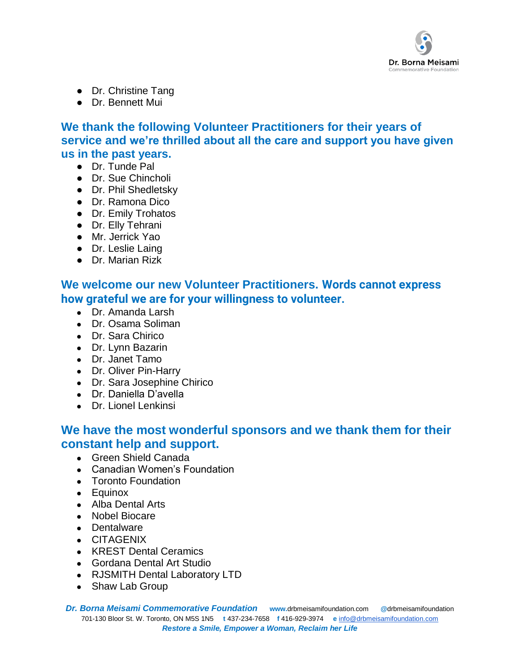

- Dr. Christine Tang
- Dr. Bennett Mui

**We thank the following Volunteer Practitioners for their years of service and we're thrilled about all the care and support you have given us in the past years.** 

- Dr. Tunde Pal
- Dr. Sue Chincholi
- Dr. Phil Shedletsky
- Dr. Ramona Dico
- Dr. Emily Trohatos
- Dr. Elly Tehrani
- Mr. Jerrick Yao
- Dr. Leslie Laing
- Dr. Marian Rizk

**We welcome our new Volunteer Practitioners. Words cannot express how grateful we are for your willingness to volunteer.**

- Dr. Amanda Larsh
- Dr. Osama Soliman
- Dr. Sara Chirico
- Dr. Lynn Bazarin
- Dr. Janet Tamo
- Dr. Oliver Pin-Harry
- Dr. Sara Josephine Chirico
- Dr. Daniella D'avella
- Dr. Lionel Lenkinsi

### **We have the most wonderful sponsors and we thank them for their constant help and support.**

- Green Shield Canada
- Canadian Women's Foundation
- Toronto Foundation
- Equinox
- Alba Dental Arts
- Nobel Biocare
- Dentalware
- CITAGENIX
- KREST Dental Ceramics
- Gordana Dental Art Studio
- RJSMITH Dental Laboratory LTD
- Shaw Lab Group